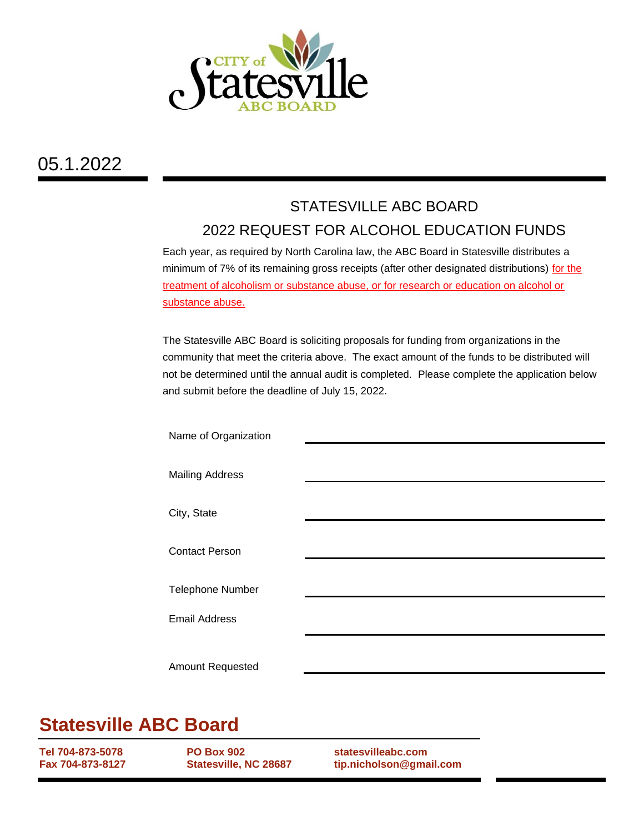

## 05.1.2022

## STATESVILLE ABC BOARD 2022 REQUEST FOR ALCOHOL EDUCATION FUNDS

Each year, as required by North Carolina law, the ABC Board in Statesville distributes a minimum of 7% of its remaining gross receipts (after other designated distributions) for the treatment of alcoholism or substance abuse, or for research or education on alcohol or substance abuse.

The Statesville ABC Board is soliciting proposals for funding from organizations in the community that meet the criteria above. The exact amount of the funds to be distributed will not be determined until the annual audit is completed. Please complete the application below and submit before the deadline of July 15, 2022.

| Name of Organization    |  |
|-------------------------|--|
| <b>Mailing Address</b>  |  |
| City, State             |  |
|                         |  |
| <b>Contact Person</b>   |  |
| <b>Telephone Number</b> |  |
| <b>Email Address</b>    |  |
|                         |  |
| Amount Requested        |  |
|                         |  |

## **Statesville ABC Board**

**Tel 704-873-5078 Fax 704-873-8127** **PO Box 902 Statesville, NC 28687** **statesvilleabc.com tip.nicholson@gmail.com**